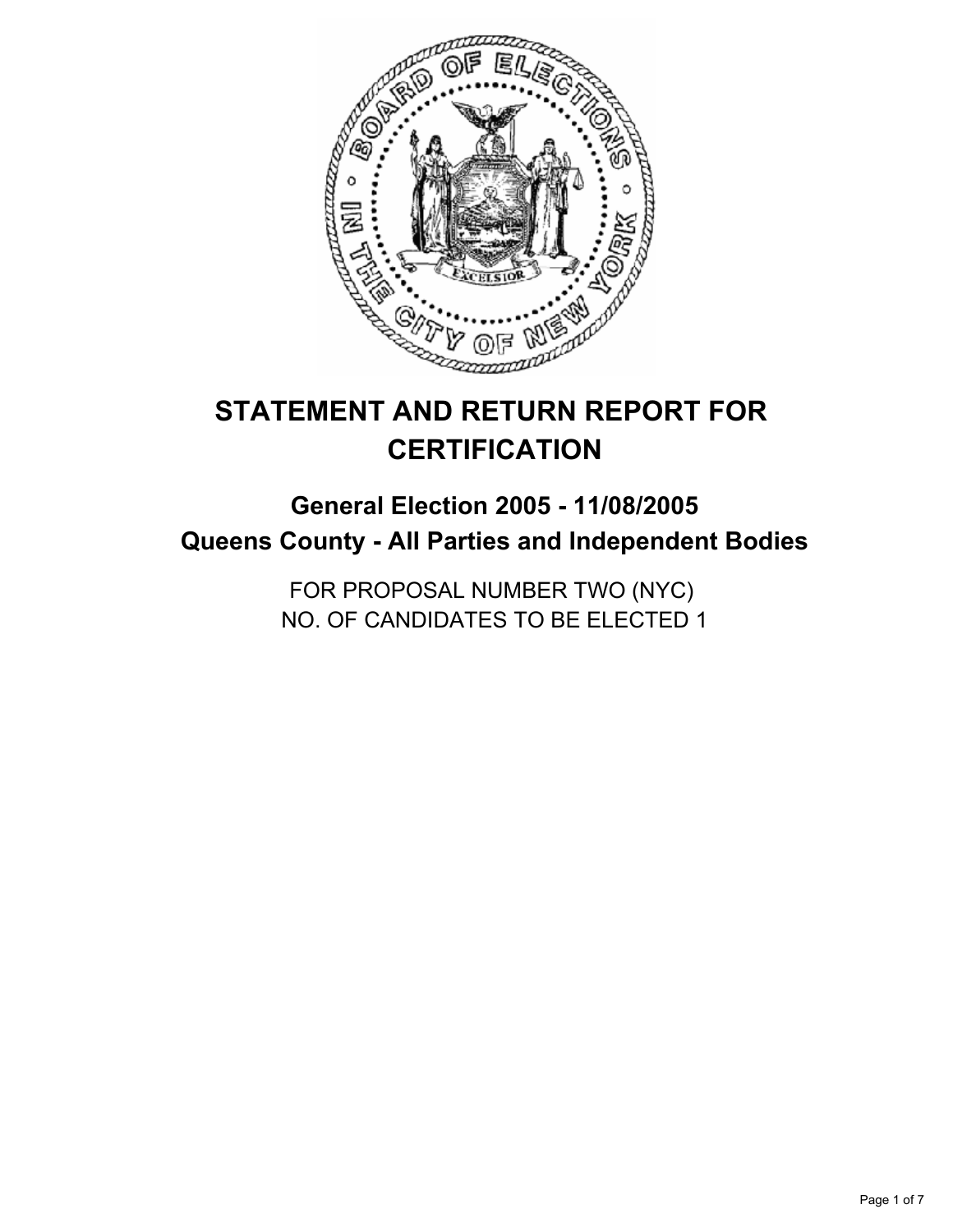

# **STATEMENT AND RETURN REPORT FOR CERTIFICATION**

## **General Election 2005 - 11/08/2005 Queens County - All Parties and Independent Bodies**

FOR PROPOSAL NUMBER TWO (NYC) NO. OF CANDIDATES TO BE ELECTED 1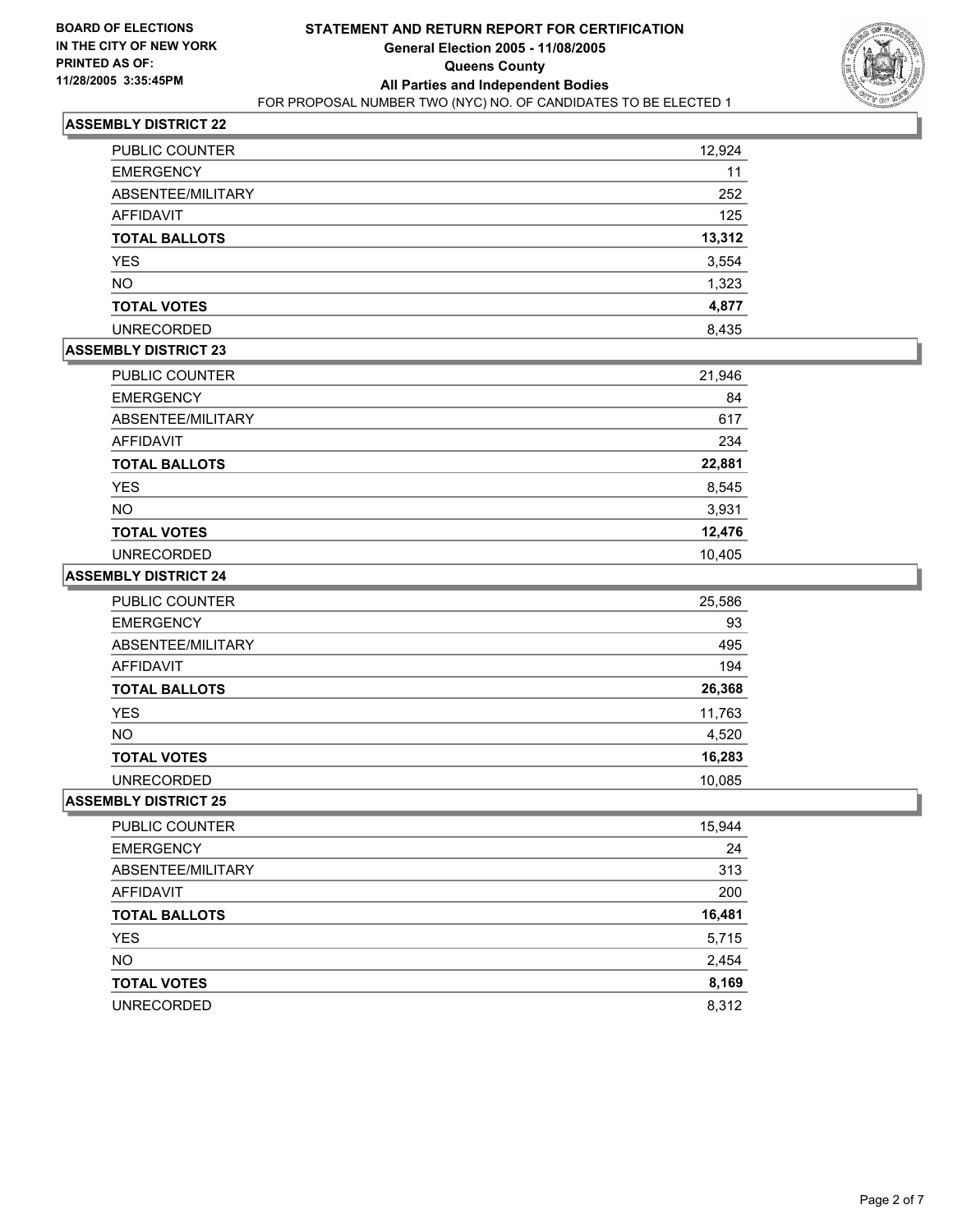

| PUBLIC COUNTER       | 12,924 |
|----------------------|--------|
| <b>EMERGENCY</b>     | 11     |
| ABSENTEE/MILITARY    | 252    |
| AFFIDAVIT            | 125    |
| <b>TOTAL BALLOTS</b> | 13,312 |
| <b>YES</b>           | 3,554  |
| <b>NO</b>            | 1,323  |
| <b>TOTAL VOTES</b>   | 4,877  |
| <b>UNRECORDED</b>    | 8,435  |

## **ASSEMBLY DISTRICT 23**

| PUBLIC COUNTER       | 21,946 |
|----------------------|--------|
| <b>EMERGENCY</b>     | 84     |
| ABSENTEE/MILITARY    | 617    |
| <b>AFFIDAVIT</b>     | 234    |
| <b>TOTAL BALLOTS</b> | 22,881 |
| <b>YES</b>           | 8,545  |
| <b>NO</b>            | 3,931  |
| <b>TOTAL VOTES</b>   | 12,476 |
| <b>UNRECORDED</b>    | 10,405 |

#### **ASSEMBLY DISTRICT 24**

| PUBLIC COUNTER       | 25,586 |
|----------------------|--------|
| <b>EMERGENCY</b>     | 93     |
| ABSENTEE/MILITARY    | 495    |
| AFFIDAVIT            | 194    |
| <b>TOTAL BALLOTS</b> | 26,368 |
| <b>YES</b>           | 11,763 |
| <b>NO</b>            | 4,520  |
| <b>TOTAL VOTES</b>   | 16,283 |
| <b>UNRECORDED</b>    | 10,085 |

| PUBLIC COUNTER       | 15,944 |
|----------------------|--------|
| <b>EMERGENCY</b>     | 24     |
| ABSENTEE/MILITARY    | 313    |
| AFFIDAVIT            | 200    |
| <b>TOTAL BALLOTS</b> | 16,481 |
| <b>YES</b>           | 5,715  |
| <b>NO</b>            | 2,454  |
| <b>TOTAL VOTES</b>   | 8,169  |
| <b>UNRECORDED</b>    | 8,312  |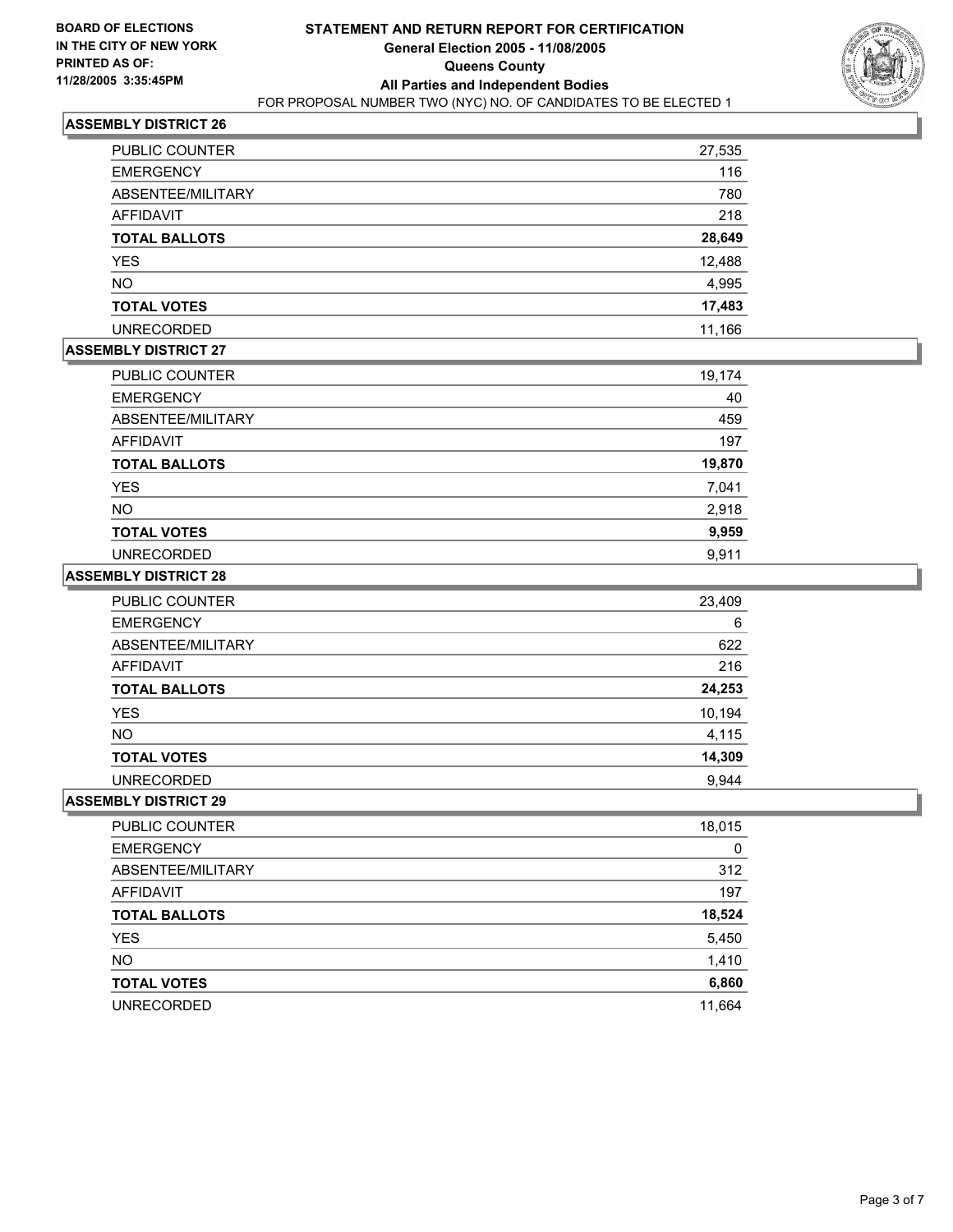

| PUBLIC COUNTER       | 27,535 |
|----------------------|--------|
| <b>EMERGENCY</b>     | 116    |
| ABSENTEE/MILITARY    | 780    |
| AFFIDAVIT            | 218    |
| <b>TOTAL BALLOTS</b> | 28,649 |
| <b>YES</b>           | 12,488 |
| NO.                  | 4,995  |
| <b>TOTAL VOTES</b>   | 17,483 |
| <b>UNRECORDED</b>    | 11,166 |

### **ASSEMBLY DISTRICT 27**

| PUBLIC COUNTER       | 19,174 |
|----------------------|--------|
| <b>EMERGENCY</b>     | 40     |
| ABSENTEE/MILITARY    | 459    |
| AFFIDAVIT            | 197    |
| <b>TOTAL BALLOTS</b> | 19,870 |
| YES                  | 7,041  |
| <b>NO</b>            | 2,918  |
| <b>TOTAL VOTES</b>   | 9,959  |
| <b>UNRECORDED</b>    | 9.911  |

#### **ASSEMBLY DISTRICT 28**

| PUBLIC COUNTER       | 23,409 |
|----------------------|--------|
| <b>EMERGENCY</b>     | 6      |
| ABSENTEE/MILITARY    | 622    |
| AFFIDAVIT            | 216    |
| <b>TOTAL BALLOTS</b> | 24,253 |
| <b>YES</b>           | 10,194 |
| <b>NO</b>            | 4,115  |
| <b>TOTAL VOTES</b>   | 14,309 |
| <b>UNRECORDED</b>    | 9.944  |

| PUBLIC COUNTER       | 18,015 |
|----------------------|--------|
| <b>EMERGENCY</b>     | 0      |
| ABSENTEE/MILITARY    | 312    |
| AFFIDAVIT            | 197    |
| <b>TOTAL BALLOTS</b> | 18,524 |
| <b>YES</b>           | 5,450  |
| <b>NO</b>            | 1,410  |
| <b>TOTAL VOTES</b>   | 6,860  |
| <b>UNRECORDED</b>    | 11,664 |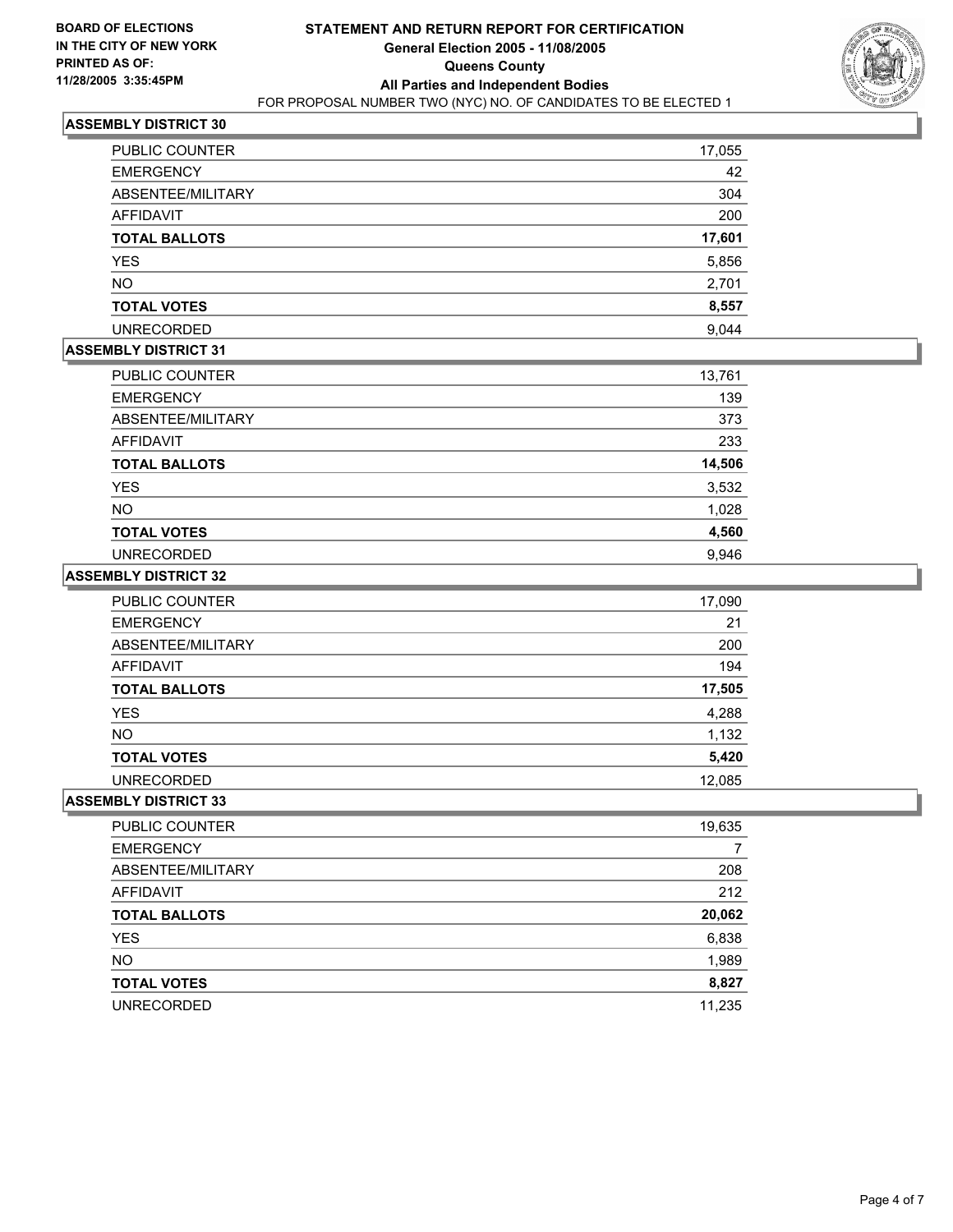

| PUBLIC COUNTER       | 17,055 |
|----------------------|--------|
| <b>EMERGENCY</b>     | 42     |
| ABSENTEE/MILITARY    | 304    |
| AFFIDAVIT            | 200    |
| <b>TOTAL BALLOTS</b> | 17,601 |
| <b>YES</b>           | 5,856  |
| <b>NO</b>            | 2,701  |
| <b>TOTAL VOTES</b>   | 8,557  |
| <b>UNRECORDED</b>    | 9,044  |

## **ASSEMBLY DISTRICT 31**

| PUBLIC COUNTER       | 13,761 |
|----------------------|--------|
| <b>EMERGENCY</b>     | 139    |
| ABSENTEE/MILITARY    | 373    |
| AFFIDAVIT            | 233    |
| <b>TOTAL BALLOTS</b> | 14,506 |
| <b>YES</b>           | 3,532  |
| <b>NO</b>            | 1,028  |
| <b>TOTAL VOTES</b>   | 4,560  |
| <b>UNRECORDED</b>    | 9,946  |

#### **ASSEMBLY DISTRICT 32**

| <b>PUBLIC COUNTER</b> | 17,090 |
|-----------------------|--------|
| <b>EMERGENCY</b>      | 21     |
| ABSENTEE/MILITARY     | 200    |
| AFFIDAVIT             | 194    |
| <b>TOTAL BALLOTS</b>  | 17,505 |
| <b>YES</b>            | 4,288  |
| NO.                   | 1,132  |
| <b>TOTAL VOTES</b>    | 5,420  |
| <b>UNRECORDED</b>     | 12,085 |

| 19,635 |
|--------|
|        |
| 208    |
| 212    |
| 20,062 |
| 6,838  |
| 1,989  |
| 8,827  |
| 11,235 |
|        |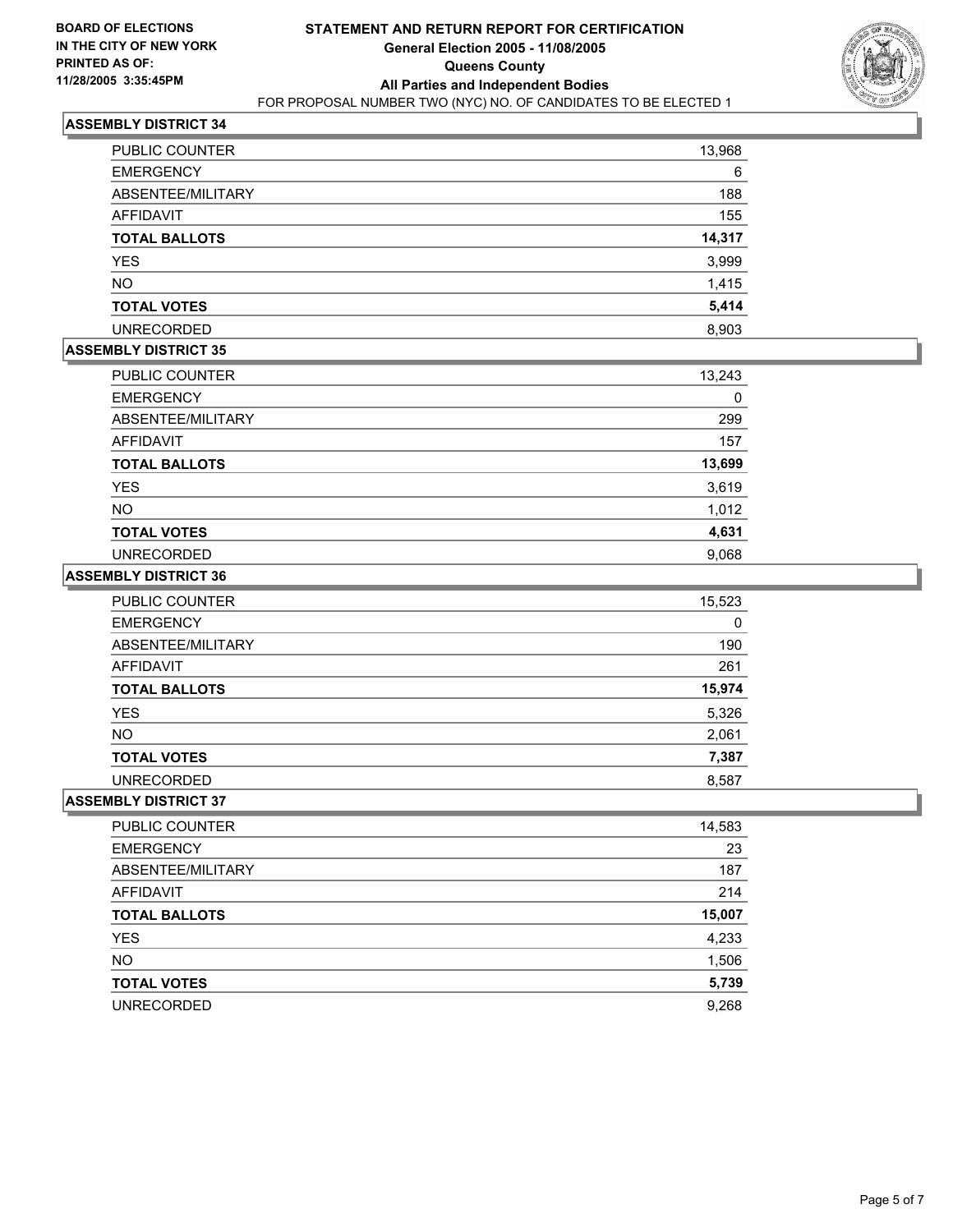

| <b>PUBLIC COUNTER</b> | 13,968 |
|-----------------------|--------|
| <b>EMERGENCY</b>      | 6      |
| ABSENTEE/MILITARY     | 188    |
| <b>AFFIDAVIT</b>      | 155    |
| <b>TOTAL BALLOTS</b>  | 14,317 |
| <b>YES</b>            | 3,999  |
| <b>NO</b>             | 1,415  |
| <b>TOTAL VOTES</b>    | 5,414  |
| <b>UNRECORDED</b>     | 8,903  |

## **ASSEMBLY DISTRICT 35**

| PUBLIC COUNTER       | 13,243 |
|----------------------|--------|
| <b>EMERGENCY</b>     | 0      |
| ABSENTEE/MILITARY    | 299    |
| AFFIDAVIT            | 157    |
| <b>TOTAL BALLOTS</b> | 13,699 |
| <b>YES</b>           | 3,619  |
| <b>NO</b>            | 1,012  |
| <b>TOTAL VOTES</b>   | 4,631  |
| <b>UNRECORDED</b>    | 9,068  |

#### **ASSEMBLY DISTRICT 36**

| <b>PUBLIC COUNTER</b> | 15,523 |
|-----------------------|--------|
| <b>EMERGENCY</b>      | 0      |
| ABSENTEE/MILITARY     | 190    |
| AFFIDAVIT             | 261    |
| <b>TOTAL BALLOTS</b>  | 15,974 |
| <b>YES</b>            | 5,326  |
| <b>NO</b>             | 2,061  |
| <b>TOTAL VOTES</b>    | 7,387  |
| <b>UNRECORDED</b>     | 8,587  |

| PUBLIC COUNTER       | 14,583 |
|----------------------|--------|
| <b>EMERGENCY</b>     | 23     |
| ABSENTEE/MILITARY    | 187    |
| AFFIDAVIT            | 214    |
| <b>TOTAL BALLOTS</b> | 15,007 |
| <b>YES</b>           | 4,233  |
| <b>NO</b>            | 1,506  |
| <b>TOTAL VOTES</b>   | 5,739  |
| <b>UNRECORDED</b>    | 9,268  |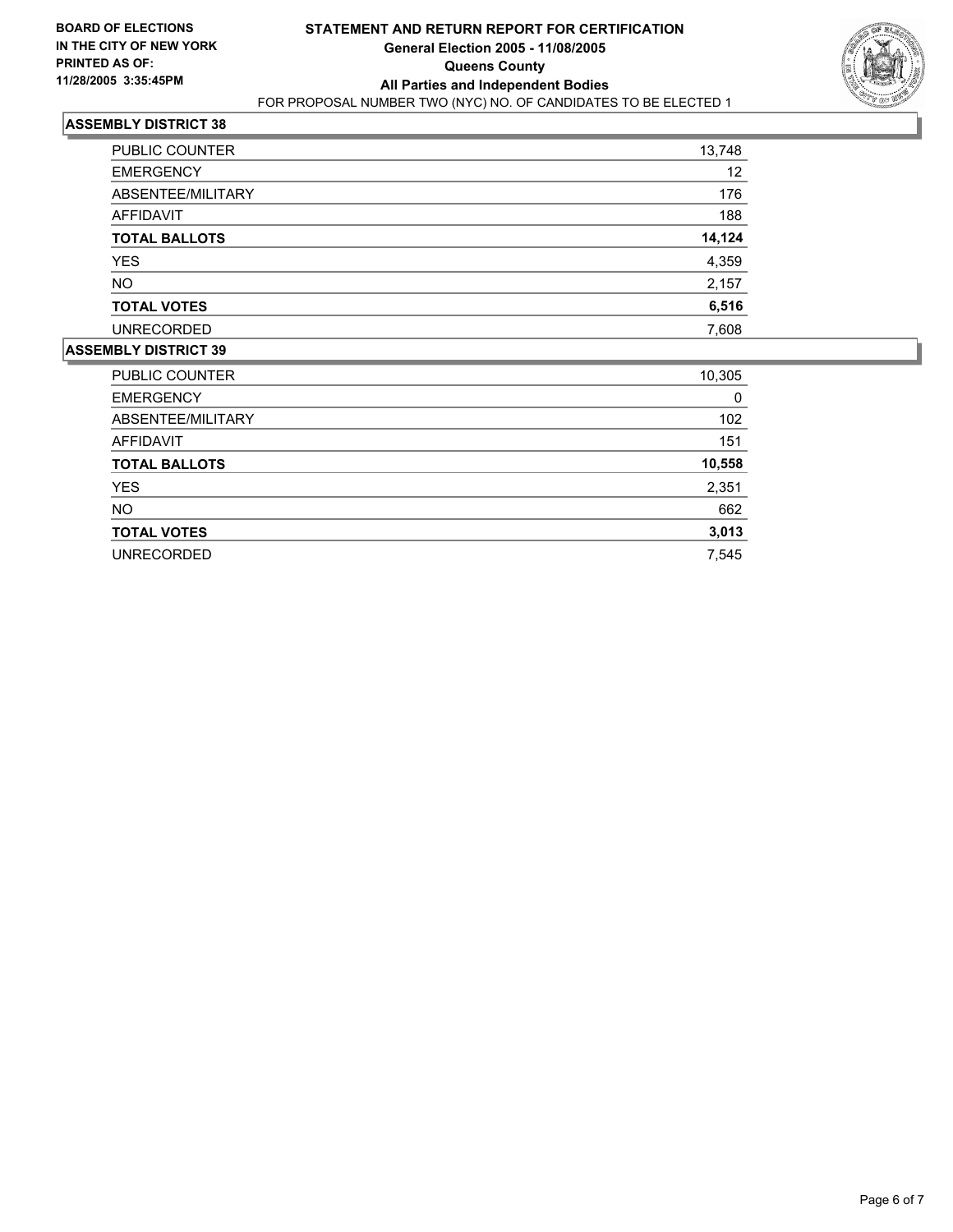

| PUBLIC COUNTER       | 13,748 |
|----------------------|--------|
| <b>EMERGENCY</b>     | 12     |
| ABSENTEE/MILITARY    | 176    |
| AFFIDAVIT            | 188    |
| <b>TOTAL BALLOTS</b> | 14,124 |
| <b>YES</b>           | 4,359  |
| <b>NO</b>            | 2,157  |
| <b>TOTAL VOTES</b>   | 6,516  |
| <b>UNRECORDED</b>    | 7,608  |

| <b>PUBLIC COUNTER</b> | 10,305 |
|-----------------------|--------|
| <b>EMERGENCY</b>      | 0      |
| ABSENTEE/MILITARY     | 102    |
| AFFIDAVIT             | 151    |
| <b>TOTAL BALLOTS</b>  | 10,558 |
| <b>YES</b>            | 2,351  |
| <b>NO</b>             | 662    |
| <b>TOTAL VOTES</b>    | 3,013  |
| <b>UNRECORDED</b>     | 7,545  |